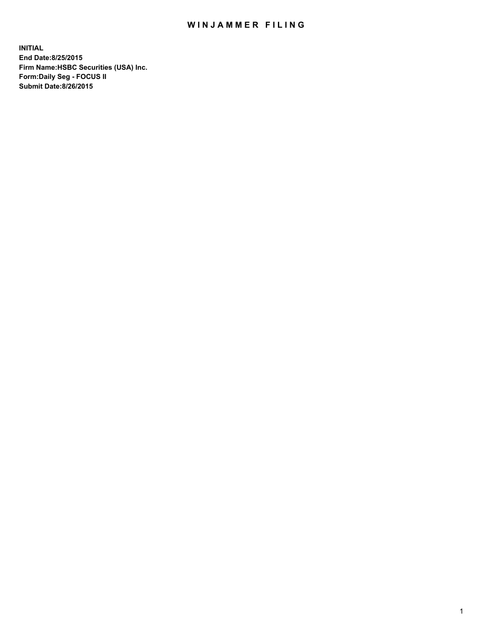## WIN JAMMER FILING

**INITIAL End Date:8/25/2015 Firm Name:HSBC Securities (USA) Inc. Form:Daily Seg - FOCUS II Submit Date:8/26/2015**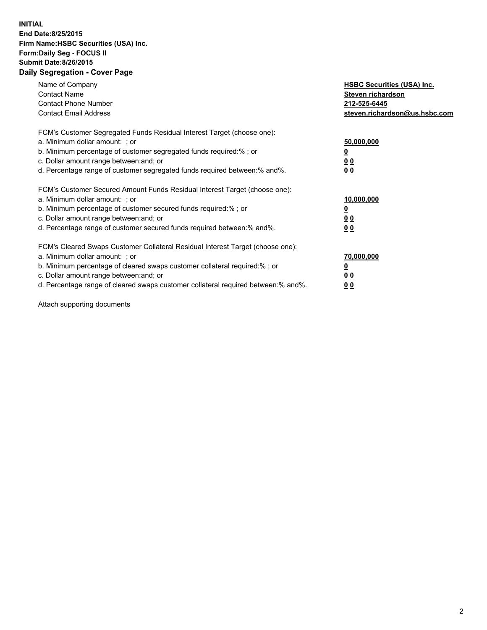## **INITIAL End Date:8/25/2015 Firm Name:HSBC Securities (USA) Inc. Form:Daily Seg - FOCUS II Submit Date:8/26/2015 Daily Segregation - Cover Page**

| Name of Company<br><b>Contact Name</b><br><b>Contact Phone Number</b><br><b>Contact Email Address</b>                                                                                                                                                                                                                          | <b>HSBC Securities (USA) Inc.</b><br>Steven richardson<br>212-525-6445<br>steven.richardson@us.hsbc.com |
|--------------------------------------------------------------------------------------------------------------------------------------------------------------------------------------------------------------------------------------------------------------------------------------------------------------------------------|---------------------------------------------------------------------------------------------------------|
| FCM's Customer Segregated Funds Residual Interest Target (choose one):<br>a. Minimum dollar amount: ; or<br>b. Minimum percentage of customer segregated funds required:%; or<br>c. Dollar amount range between: and; or<br>d. Percentage range of customer segregated funds required between: % and %.                        | 50,000,000<br>0 <sub>0</sub><br>0 <sub>0</sub>                                                          |
| FCM's Customer Secured Amount Funds Residual Interest Target (choose one):<br>a. Minimum dollar amount: ; or<br>b. Minimum percentage of customer secured funds required:%; or<br>c. Dollar amount range between: and; or<br>d. Percentage range of customer secured funds required between:% and%.                            | 10,000,000<br><u>0</u><br>0 <sub>0</sub><br>0 <sub>0</sub>                                              |
| FCM's Cleared Swaps Customer Collateral Residual Interest Target (choose one):<br>a. Minimum dollar amount: ; or<br>b. Minimum percentage of cleared swaps customer collateral required:% ; or<br>c. Dollar amount range between: and; or<br>d. Percentage range of cleared swaps customer collateral required between:% and%. | 70,000,000<br>00<br><u>00</u>                                                                           |

Attach supporting documents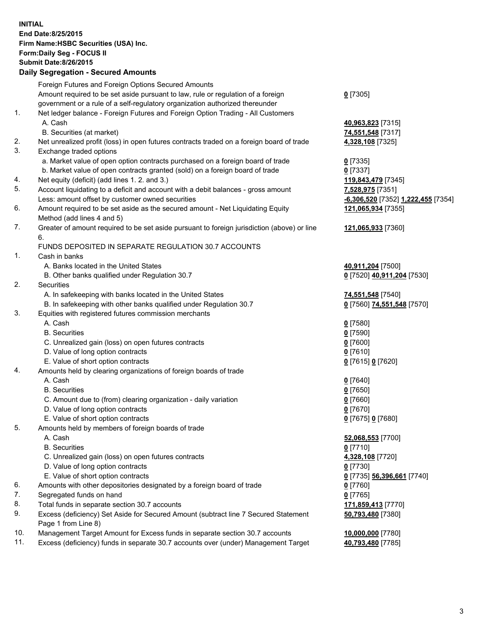**INITIAL End Date:8/25/2015 Firm Name:HSBC Securities (USA) Inc. Form:Daily Seg - FOCUS II Submit Date:8/26/2015 Daily Segregation - Secured Amounts**

Foreign Futures and Foreign Options Secured Amounts Amount required to be set aside pursuant to law, rule or regulation of a foreign government or a rule of a self-regulatory organization authorized thereunder **0** [7305] 1. Net ledger balance - Foreign Futures and Foreign Option Trading - All Customers A. Cash **40,963,823** [7315] B. Securities (at market) **74,551,548** [7317] 2. Net unrealized profit (loss) in open futures contracts traded on a foreign board of trade **4,328,108** [7325] 3. Exchange traded options a. Market value of open option contracts purchased on a foreign board of trade **0** [7335] b. Market value of open contracts granted (sold) on a foreign board of trade **0** [7337] 4. Net equity (deficit) (add lines 1. 2. and 3.) **119,843,479** [7345] 5. Account liquidating to a deficit and account with a debit balances - gross amount **7,528,975** [7351] Less: amount offset by customer owned securities **-6,306,520** [7352] **1,222,455** [7354] 6. Amount required to be set aside as the secured amount - Net Liquidating Equity Method (add lines 4 and 5) **121,065,934** [7355] 7. Greater of amount required to be set aside pursuant to foreign jurisdiction (above) or line 6. **121,065,933** [7360] FUNDS DEPOSITED IN SEPARATE REGULATION 30.7 ACCOUNTS 1. Cash in banks A. Banks located in the United States **40,911,204** [7500] B. Other banks qualified under Regulation 30.7 **0** [7520] **40,911,204** [7530] 2. Securities A. In safekeeping with banks located in the United States **74,551,548** [7540] B. In safekeeping with other banks qualified under Regulation 30.7 **0** [7560] **74,551,548** [7570] 3. Equities with registered futures commission merchants A. Cash **0** [7580] B. Securities **0** [7590] C. Unrealized gain (loss) on open futures contracts **0** [7600] D. Value of long option contracts **0** [7610] E. Value of short option contracts **0** [7615] **0** [7620] 4. Amounts held by clearing organizations of foreign boards of trade A. Cash **0** [7640] B. Securities **0** [7650] C. Amount due to (from) clearing organization - daily variation **0** [7660] D. Value of long option contracts **0** [7670] E. Value of short option contracts **0** [7675] **0** [7680] 5. Amounts held by members of foreign boards of trade A. Cash **52,068,553** [7700] B. Securities **0** [7710] C. Unrealized gain (loss) on open futures contracts **4,328,108** [7720] D. Value of long option contracts **0** [7730] E. Value of short option contracts **0** [7735] **56,396,661** [7740] 6. Amounts with other depositories designated by a foreign board of trade **0** [7760] 7. Segregated funds on hand **0** [7765] 8. Total funds in separate section 30.7 accounts **171,859,413** [7770] 9. Excess (deficiency) Set Aside for Secured Amount (subtract line 7 Secured Statement Page 1 from Line 8) **50,793,480** [7380] 10. Management Target Amount for Excess funds in separate section 30.7 accounts **10,000,000** [7780] 11. Excess (deficiency) funds in separate 30.7 accounts over (under) Management Target **40,793,480** [7785]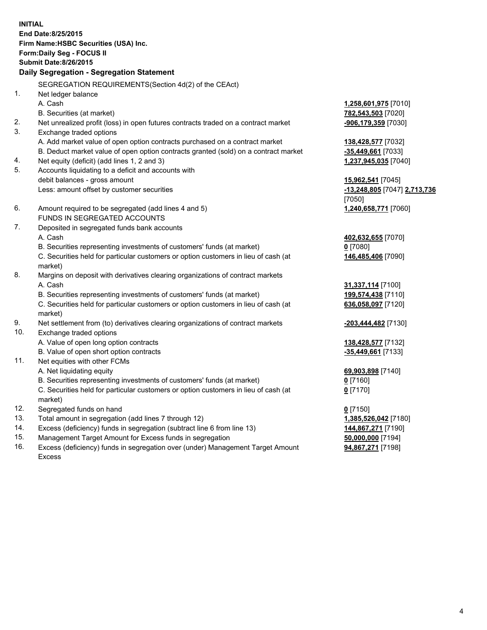**INITIAL End Date:8/25/2015 Firm Name:HSBC Securities (USA) Inc. Form:Daily Seg - FOCUS II Submit Date:8/26/2015 Daily Segregation - Segregation Statement** SEGREGATION REQUIREMENTS(Section 4d(2) of the CEAct) 1. Net ledger balance A. Cash **1,258,601,975** [7010] B. Securities (at market) **782,543,503** [7020] 2. Net unrealized profit (loss) in open futures contracts traded on a contract market **-906,179,359** [7030] 3. Exchange traded options A. Add market value of open option contracts purchased on a contract market **138,428,577** [7032] B. Deduct market value of open option contracts granted (sold) on a contract market **-35,449,661** [7033] 4. Net equity (deficit) (add lines 1, 2 and 3) **1,237,945,035** [7040] 5. Accounts liquidating to a deficit and accounts with debit balances - gross amount **15,962,541** [7045] Less: amount offset by customer securities **-13,248,805** [7047] **2,713,736** [7050] 6. Amount required to be segregated (add lines 4 and 5) **1,240,658,771** [7060] FUNDS IN SEGREGATED ACCOUNTS 7. Deposited in segregated funds bank accounts A. Cash **402,632,655** [7070] B. Securities representing investments of customers' funds (at market) **0** [7080] C. Securities held for particular customers or option customers in lieu of cash (at market) **146,485,406** [7090] 8. Margins on deposit with derivatives clearing organizations of contract markets A. Cash **31,337,114** [7100] B. Securities representing investments of customers' funds (at market) **199,574,438** [7110] C. Securities held for particular customers or option customers in lieu of cash (at market) **636,058,097** [7120] 9. Net settlement from (to) derivatives clearing organizations of contract markets **-203,444,482** [7130] 10. Exchange traded options A. Value of open long option contracts **138,428,577** [7132] B. Value of open short option contracts **-35,449,661** [7133] 11. Net equities with other FCMs A. Net liquidating equity **69,903,898** [7140] B. Securities representing investments of customers' funds (at market) **0** [7160] C. Securities held for particular customers or option customers in lieu of cash (at market) **0** [7170] 12. Segregated funds on hand **0** [7150] 13. Total amount in segregation (add lines 7 through 12) **1,385,526,042** [7180] 14. Excess (deficiency) funds in segregation (subtract line 6 from line 13) **144,867,271** [7190] 15. Management Target Amount for Excess funds in segregation **50,000,000** [7194] **94,867,271** [7198]

16. Excess (deficiency) funds in segregation over (under) Management Target Amount Excess